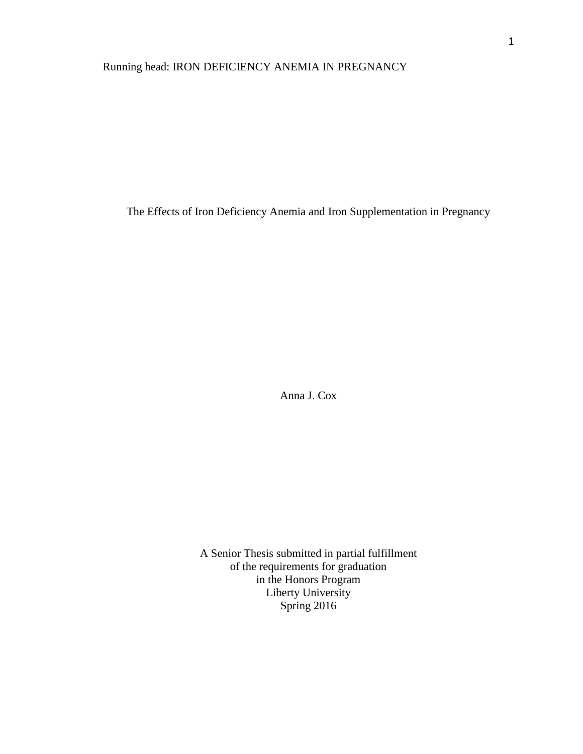# Running head: IRON DEFICIENCY ANEMIA IN PREGNANCY

The Effects of Iron Deficiency Anemia and Iron Supplementation in Pregnancy

Anna J. Cox

A Senior Thesis submitted in partial fulfillment of the requirements for graduation in the Honors Program Liberty University Spring 2016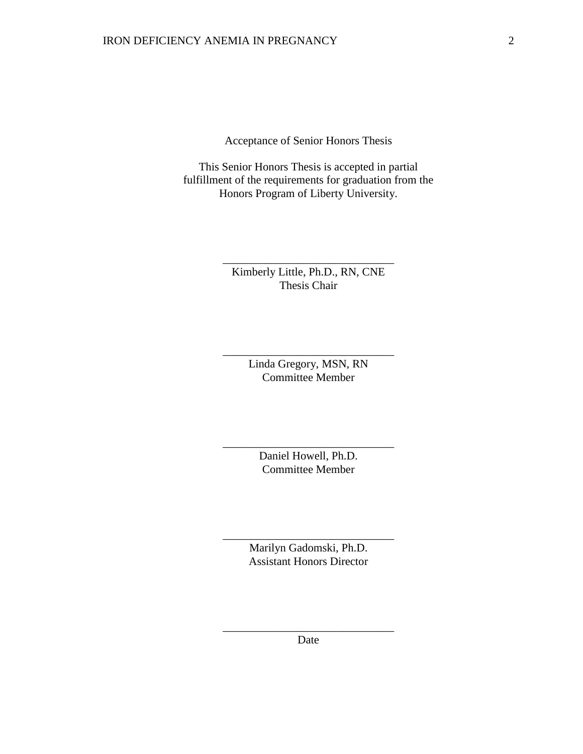Acceptance of Senior Honors Thesis

This Senior Honors Thesis is accepted in partial fulfillment of the requirements for graduation from the Honors Program of Liberty University.

> Kimberly Little, Ph.D., RN, CNE Thesis Chair

\_\_\_\_\_\_\_\_\_\_\_\_\_\_\_\_\_\_\_\_\_\_\_\_\_\_\_\_\_\_

Linda Gregory, MSN, RN Committee Member

\_\_\_\_\_\_\_\_\_\_\_\_\_\_\_\_\_\_\_\_\_\_\_\_\_\_\_\_\_\_

Daniel Howell, Ph.D. Committee Member

\_\_\_\_\_\_\_\_\_\_\_\_\_\_\_\_\_\_\_\_\_\_\_\_\_\_\_\_\_\_

Marilyn Gadomski, Ph.D. Assistant Honors Director

\_\_\_\_\_\_\_\_\_\_\_\_\_\_\_\_\_\_\_\_\_\_\_\_\_\_\_\_\_\_

\_\_\_\_\_\_\_\_\_\_\_\_\_\_\_\_\_\_\_\_\_\_\_\_\_\_\_\_\_\_ Date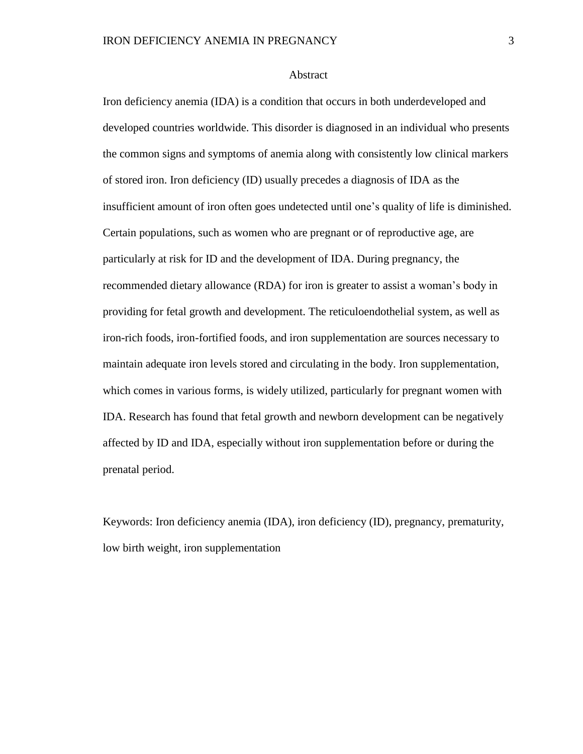#### Abstract

Iron deficiency anemia (IDA) is a condition that occurs in both underdeveloped and developed countries worldwide. This disorder is diagnosed in an individual who presents the common signs and symptoms of anemia along with consistently low clinical markers of stored iron. Iron deficiency (ID) usually precedes a diagnosis of IDA as the insufficient amount of iron often goes undetected until one's quality of life is diminished. Certain populations, such as women who are pregnant or of reproductive age, are particularly at risk for ID and the development of IDA. During pregnancy, the recommended dietary allowance (RDA) for iron is greater to assist a woman's body in providing for fetal growth and development. The reticuloendothelial system, as well as iron-rich foods, iron-fortified foods, and iron supplementation are sources necessary to maintain adequate iron levels stored and circulating in the body. Iron supplementation, which comes in various forms, is widely utilized, particularly for pregnant women with IDA. Research has found that fetal growth and newborn development can be negatively affected by ID and IDA, especially without iron supplementation before or during the prenatal period.

Keywords: Iron deficiency anemia (IDA), iron deficiency (ID), pregnancy, prematurity, low birth weight, iron supplementation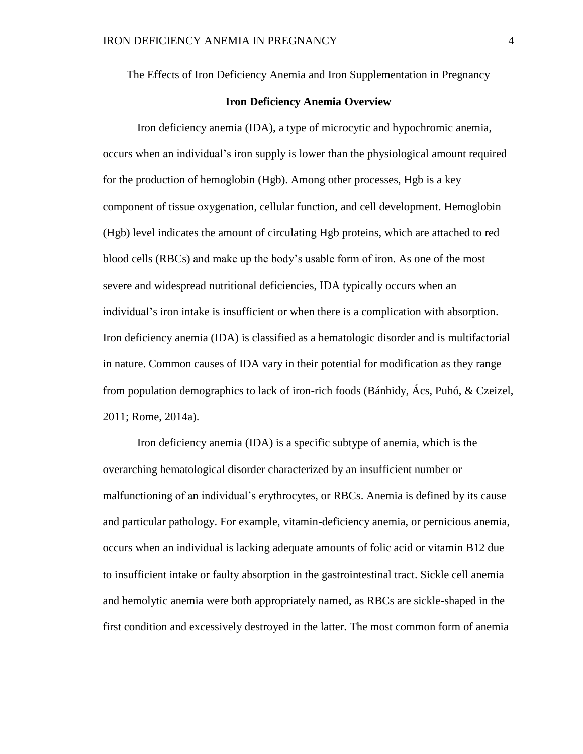The Effects of Iron Deficiency Anemia and Iron Supplementation in Pregnancy

### **Iron Deficiency Anemia Overview**

Iron deficiency anemia (IDA), a type of microcytic and hypochromic anemia, occurs when an individual's iron supply is lower than the physiological amount required for the production of hemoglobin (Hgb). Among other processes, Hgb is a key component of tissue oxygenation, cellular function, and cell development. Hemoglobin (Hgb) level indicates the amount of circulating Hgb proteins, which are attached to red blood cells (RBCs) and make up the body's usable form of iron. As one of the most severe and widespread nutritional deficiencies, IDA typically occurs when an individual's iron intake is insufficient or when there is a complication with absorption. Iron deficiency anemia (IDA) is classified as a hematologic disorder and is multifactorial in nature. Common causes of IDA vary in their potential for modification as they range from population demographics to lack of iron-rich foods (Bánhidy, Ács, Puhó, & Czeizel, 2011; Rome, 2014a).

Iron deficiency anemia (IDA) is a specific subtype of anemia, which is the overarching hematological disorder characterized by an insufficient number or malfunctioning of an individual's erythrocytes, or RBCs. Anemia is defined by its cause and particular pathology. For example, vitamin-deficiency anemia, or pernicious anemia, occurs when an individual is lacking adequate amounts of folic acid or vitamin B12 due to insufficient intake or faulty absorption in the gastrointestinal tract. Sickle cell anemia and hemolytic anemia were both appropriately named, as RBCs are sickle-shaped in the first condition and excessively destroyed in the latter. The most common form of anemia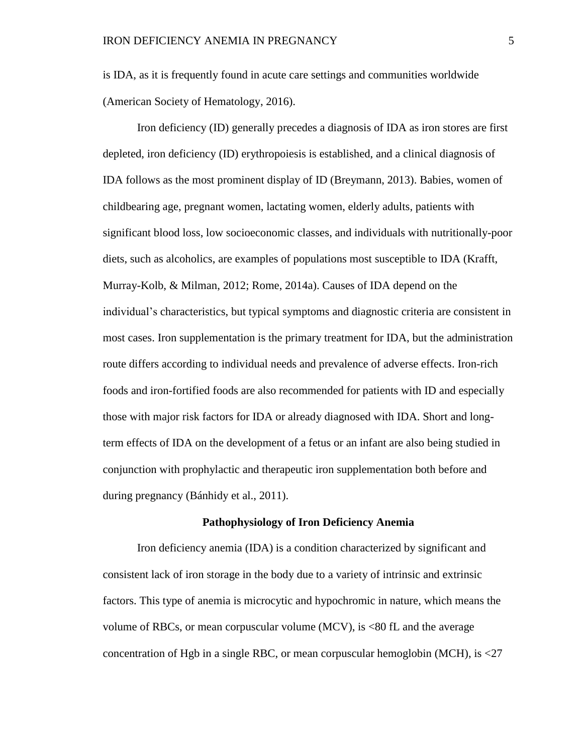is IDA, as it is frequently found in acute care settings and communities worldwide (American Society of Hematology, 2016).

Iron deficiency (ID) generally precedes a diagnosis of IDA as iron stores are first depleted, iron deficiency (ID) erythropoiesis is established, and a clinical diagnosis of IDA follows as the most prominent display of ID (Breymann, 2013). Babies, women of childbearing age, pregnant women, lactating women, elderly adults, patients with significant blood loss, low socioeconomic classes, and individuals with nutritionally-poor diets, such as alcoholics, are examples of populations most susceptible to IDA (Krafft, Murray-Kolb, & Milman, 2012; Rome, 2014a). Causes of IDA depend on the individual's characteristics, but typical symptoms and diagnostic criteria are consistent in most cases. Iron supplementation is the primary treatment for IDA, but the administration route differs according to individual needs and prevalence of adverse effects. Iron-rich foods and iron-fortified foods are also recommended for patients with ID and especially those with major risk factors for IDA or already diagnosed with IDA. Short and longterm effects of IDA on the development of a fetus or an infant are also being studied in conjunction with prophylactic and therapeutic iron supplementation both before and during pregnancy (Bánhidy et al., 2011).

#### **Pathophysiology of Iron Deficiency Anemia**

Iron deficiency anemia (IDA) is a condition characterized by significant and consistent lack of iron storage in the body due to a variety of intrinsic and extrinsic factors. This type of anemia is microcytic and hypochromic in nature, which means the volume of RBCs, or mean corpuscular volume  $(MCV)$ , is  $<80$  fL and the average concentration of Hgb in a single RBC, or mean corpuscular hemoglobin (MCH), is <27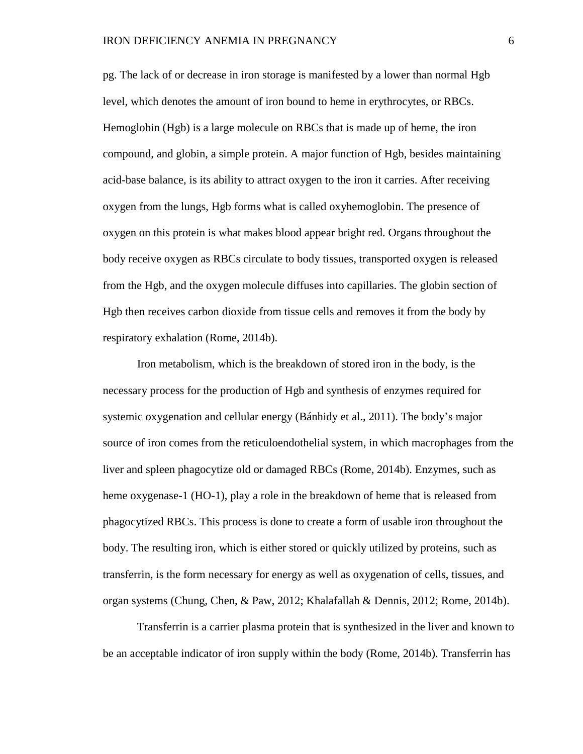pg. The lack of or decrease in iron storage is manifested by a lower than normal Hgb level, which denotes the amount of iron bound to heme in erythrocytes, or RBCs. Hemoglobin (Hgb) is a large molecule on RBCs that is made up of heme, the iron compound, and globin, a simple protein. A major function of Hgb, besides maintaining acid-base balance, is its ability to attract oxygen to the iron it carries. After receiving oxygen from the lungs, Hgb forms what is called oxyhemoglobin. The presence of oxygen on this protein is what makes blood appear bright red. Organs throughout the body receive oxygen as RBCs circulate to body tissues, transported oxygen is released from the Hgb, and the oxygen molecule diffuses into capillaries. The globin section of Hgb then receives carbon dioxide from tissue cells and removes it from the body by respiratory exhalation (Rome, 2014b).

Iron metabolism, which is the breakdown of stored iron in the body, is the necessary process for the production of Hgb and synthesis of enzymes required for systemic oxygenation and cellular energy (Bánhidy et al., 2011). The body's major source of iron comes from the reticuloendothelial system, in which macrophages from the liver and spleen phagocytize old or damaged RBCs (Rome, 2014b). Enzymes, such as heme oxygenase-1 (HO-1), play a role in the breakdown of heme that is released from phagocytized RBCs. This process is done to create a form of usable iron throughout the body. The resulting iron, which is either stored or quickly utilized by proteins, such as transferrin, is the form necessary for energy as well as oxygenation of cells, tissues, and organ systems (Chung, Chen, & Paw, 2012; Khalafallah & Dennis, 2012; Rome, 2014b).

Transferrin is a carrier plasma protein that is synthesized in the liver and known to be an acceptable indicator of iron supply within the body (Rome, 2014b). Transferrin has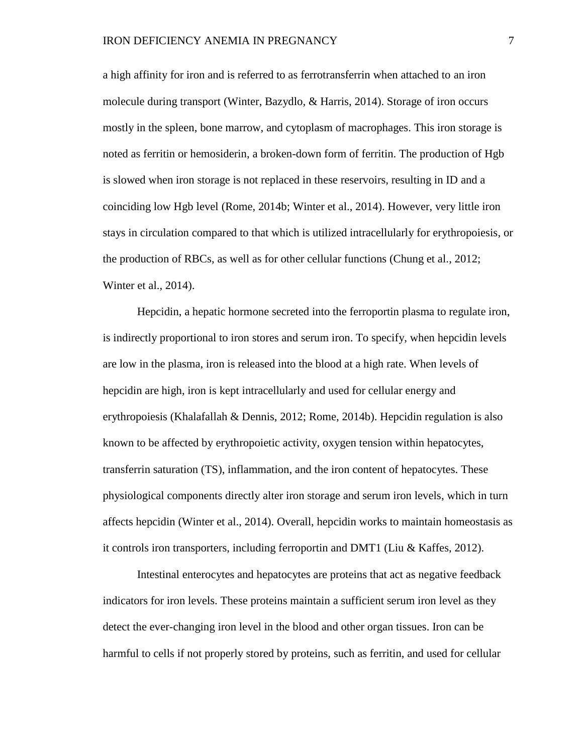a high affinity for iron and is referred to as ferrotransferrin when attached to an iron molecule during transport (Winter, Bazydlo, & Harris, 2014). Storage of iron occurs mostly in the spleen, bone marrow, and cytoplasm of macrophages. This iron storage is noted as ferritin or hemosiderin, a broken-down form of ferritin. The production of Hgb is slowed when iron storage is not replaced in these reservoirs, resulting in ID and a coinciding low Hgb level (Rome, 2014b; Winter et al., 2014). However, very little iron stays in circulation compared to that which is utilized intracellularly for erythropoiesis, or the production of RBCs, as well as for other cellular functions (Chung et al., 2012; Winter et al., 2014).

Hepcidin, a hepatic hormone secreted into the ferroportin plasma to regulate iron, is indirectly proportional to iron stores and serum iron. To specify, when hepcidin levels are low in the plasma, iron is released into the blood at a high rate. When levels of hepcidin are high, iron is kept intracellularly and used for cellular energy and erythropoiesis (Khalafallah & Dennis, 2012; Rome, 2014b). Hepcidin regulation is also known to be affected by erythropoietic activity, oxygen tension within hepatocytes, transferrin saturation (TS), inflammation, and the iron content of hepatocytes. These physiological components directly alter iron storage and serum iron levels, which in turn affects hepcidin (Winter et al., 2014). Overall, hepcidin works to maintain homeostasis as it controls iron transporters, including ferroportin and DMT1 (Liu & Kaffes, 2012).

Intestinal enterocytes and hepatocytes are proteins that act as negative feedback indicators for iron levels. These proteins maintain a sufficient serum iron level as they detect the ever-changing iron level in the blood and other organ tissues. Iron can be harmful to cells if not properly stored by proteins, such as ferritin, and used for cellular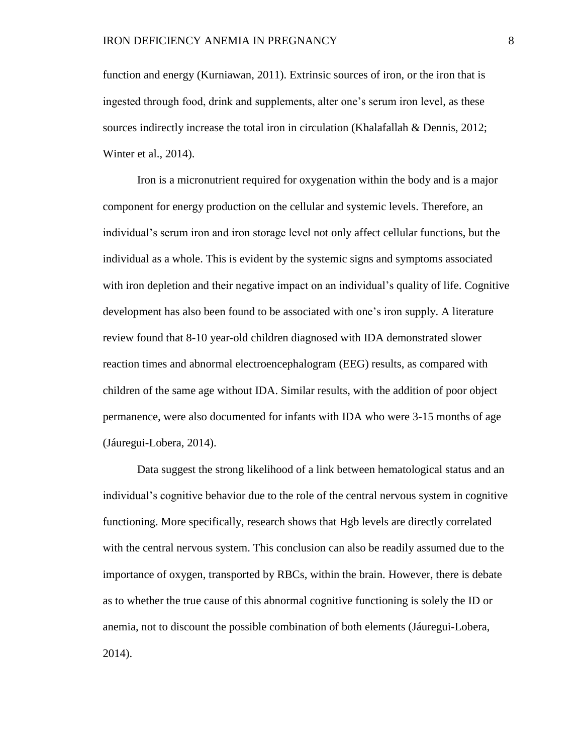function and energy (Kurniawan, 2011). Extrinsic sources of iron, or the iron that is ingested through food, drink and supplements, alter one's serum iron level, as these sources indirectly increase the total iron in circulation (Khalafallah & Dennis, 2012; Winter et al., 2014).

Iron is a micronutrient required for oxygenation within the body and is a major component for energy production on the cellular and systemic levels. Therefore, an individual's serum iron and iron storage level not only affect cellular functions, but the individual as a whole. This is evident by the systemic signs and symptoms associated with iron depletion and their negative impact on an individual's quality of life. Cognitive development has also been found to be associated with one's iron supply. A literature review found that 8-10 year-old children diagnosed with IDA demonstrated slower reaction times and abnormal electroencephalogram (EEG) results, as compared with children of the same age without IDA. Similar results, with the addition of poor object permanence, were also documented for infants with IDA who were 3-15 months of age (Jáuregui-Lobera, 2014).

Data suggest the strong likelihood of a link between hematological status and an individual's cognitive behavior due to the role of the central nervous system in cognitive functioning. More specifically, research shows that Hgb levels are directly correlated with the central nervous system. This conclusion can also be readily assumed due to the importance of oxygen, transported by RBCs, within the brain. However, there is debate as to whether the true cause of this abnormal cognitive functioning is solely the ID or anemia, not to discount the possible combination of both elements (Jáuregui-Lobera, 2014).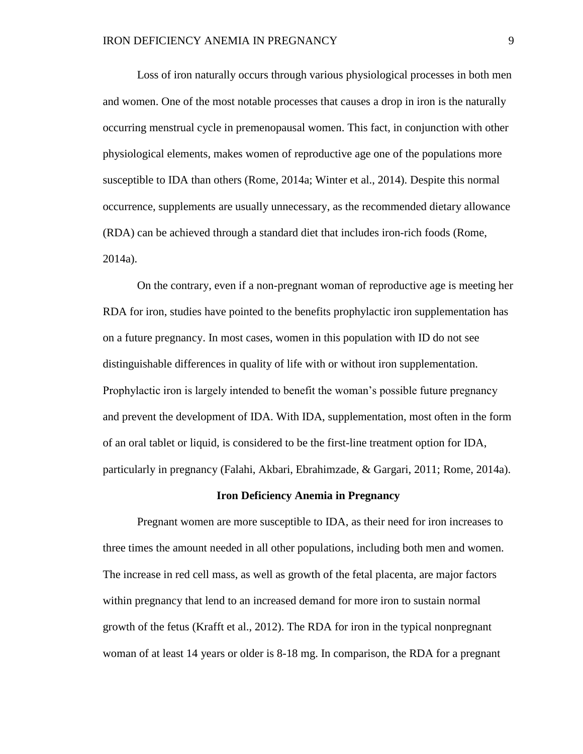Loss of iron naturally occurs through various physiological processes in both men and women. One of the most notable processes that causes a drop in iron is the naturally occurring menstrual cycle in premenopausal women. This fact, in conjunction with other physiological elements, makes women of reproductive age one of the populations more susceptible to IDA than others (Rome, 2014a; Winter et al., 2014). Despite this normal occurrence, supplements are usually unnecessary, as the recommended dietary allowance (RDA) can be achieved through a standard diet that includes iron-rich foods (Rome, 2014a).

On the contrary, even if a non-pregnant woman of reproductive age is meeting her RDA for iron, studies have pointed to the benefits prophylactic iron supplementation has on a future pregnancy. In most cases, women in this population with ID do not see distinguishable differences in quality of life with or without iron supplementation. Prophylactic iron is largely intended to benefit the woman's possible future pregnancy and prevent the development of IDA. With IDA, supplementation, most often in the form of an oral tablet or liquid, is considered to be the first-line treatment option for IDA, particularly in pregnancy (Falahi, Akbari, Ebrahimzade, & Gargari, 2011; Rome, 2014a).

### **Iron Deficiency Anemia in Pregnancy**

Pregnant women are more susceptible to IDA, as their need for iron increases to three times the amount needed in all other populations, including both men and women. The increase in red cell mass, as well as growth of the fetal placenta, are major factors within pregnancy that lend to an increased demand for more iron to sustain normal growth of the fetus (Krafft et al., 2012). The RDA for iron in the typical nonpregnant woman of at least 14 years or older is 8-18 mg. In comparison, the RDA for a pregnant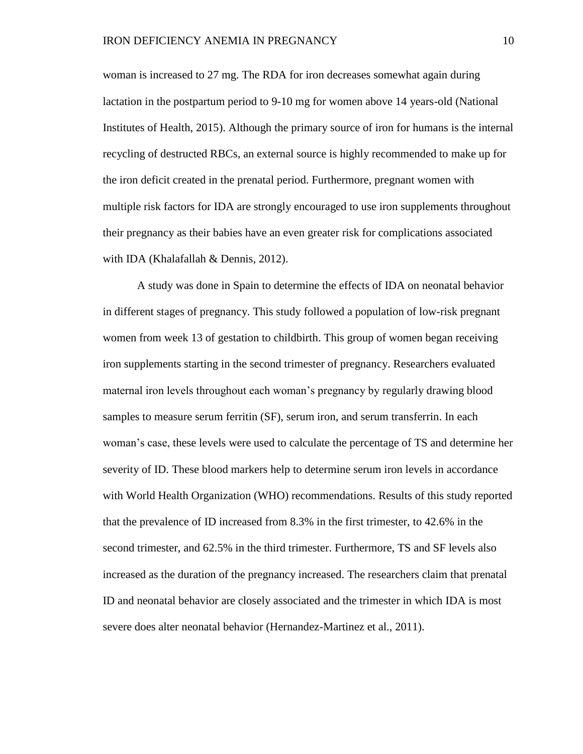woman is increased to 27 mg. The RDA for iron decreases somewhat again during lactation in the postpartum period to 9-10 mg for women above 14 years-old (National Institutes of Health, 2015). Although the primary source of iron for humans is the internal recycling of destructed RBCs, an external source is highly recommended to make up for the iron deficit created in the prenatal period. Furthermore, pregnant women with multiple risk factors for IDA are strongly encouraged to use iron supplements throughout their pregnancy as their babies have an even greater risk for complications associated with IDA (Khalafallah & Dennis, 2012).

A study was done in Spain to determine the effects of IDA on neonatal behavior in different stages of pregnancy. This study followed a population of low-risk pregnant women from week 13 of gestation to childbirth. This group of women began receiving iron supplements starting in the second trimester of pregnancy. Researchers evaluated maternal iron levels throughout each woman's pregnancy by regularly drawing blood samples to measure serum ferritin (SF), serum iron, and serum transferrin. In each woman's case, these levels were used to calculate the percentage of TS and determine her severity of ID. These blood markers help to determine serum iron levels in accordance with World Health Organization (WHO) recommendations. Results of this study reported that the prevalence of ID increased from 8.3% in the first trimester, to 42.6% in the second trimester, and 62.5% in the third trimester. Furthermore, TS and SF levels also increased as the duration of the pregnancy increased. The researchers claim that prenatal ID and neonatal behavior are closely associated and the trimester in which IDA is most severe does alter neonatal behavior (Hernandez-Martinez et al., 2011).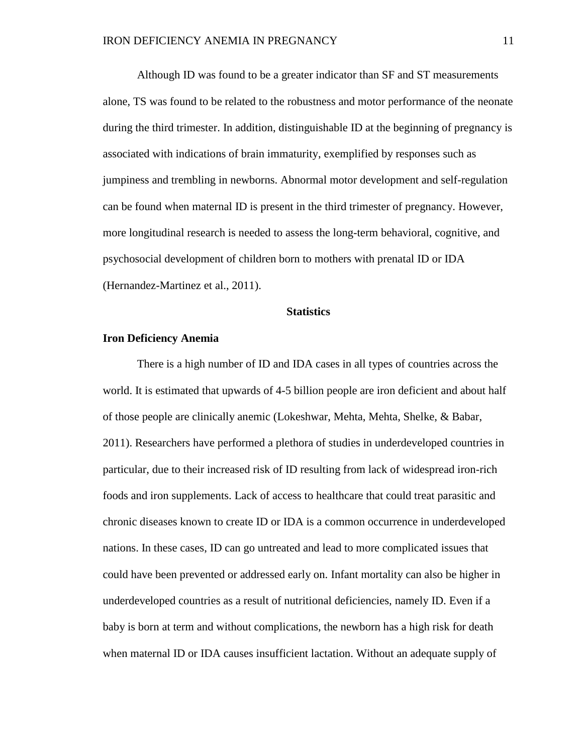Although ID was found to be a greater indicator than SF and ST measurements alone, TS was found to be related to the robustness and motor performance of the neonate during the third trimester. In addition, distinguishable ID at the beginning of pregnancy is associated with indications of brain immaturity, exemplified by responses such as jumpiness and trembling in newborns. Abnormal motor development and self-regulation can be found when maternal ID is present in the third trimester of pregnancy. However, more longitudinal research is needed to assess the long-term behavioral, cognitive, and psychosocial development of children born to mothers with prenatal ID or IDA (Hernandez-Martinez et al., 2011).

#### **Statistics**

### **Iron Deficiency Anemia**

There is a high number of ID and IDA cases in all types of countries across the world. It is estimated that upwards of 4-5 billion people are iron deficient and about half of those people are clinically anemic (Lokeshwar, Mehta, Mehta, Shelke, & Babar, 2011). Researchers have performed a plethora of studies in underdeveloped countries in particular, due to their increased risk of ID resulting from lack of widespread iron-rich foods and iron supplements. Lack of access to healthcare that could treat parasitic and chronic diseases known to create ID or IDA is a common occurrence in underdeveloped nations. In these cases, ID can go untreated and lead to more complicated issues that could have been prevented or addressed early on. Infant mortality can also be higher in underdeveloped countries as a result of nutritional deficiencies, namely ID. Even if a baby is born at term and without complications, the newborn has a high risk for death when maternal ID or IDA causes insufficient lactation. Without an adequate supply of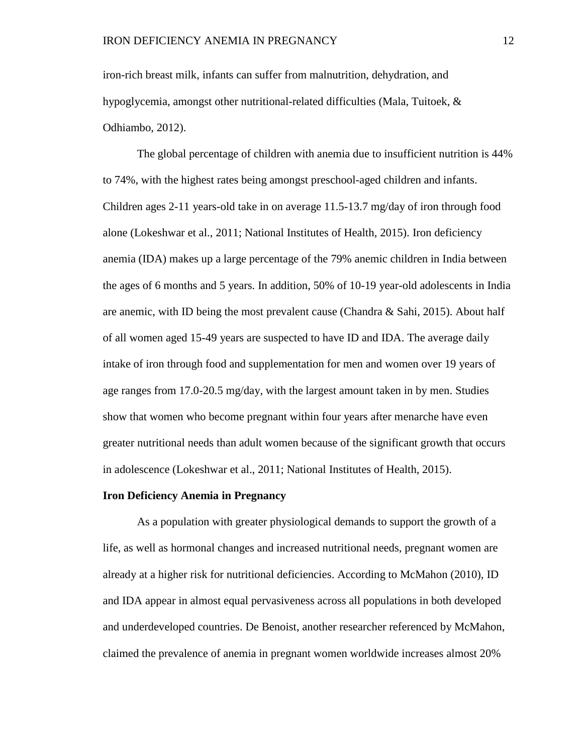iron-rich breast milk, infants can suffer from malnutrition, dehydration, and hypoglycemia, amongst other nutritional-related difficulties (Mala, Tuitoek, & Odhiambo, 2012).

The global percentage of children with anemia due to insufficient nutrition is 44% to 74%, with the highest rates being amongst preschool-aged children and infants. Children ages 2-11 years-old take in on average 11.5-13.7 mg/day of iron through food alone (Lokeshwar et al., 2011; National Institutes of Health, 2015). Iron deficiency anemia (IDA) makes up a large percentage of the 79% anemic children in India between the ages of 6 months and 5 years. In addition, 50% of 10-19 year-old adolescents in India are anemic, with ID being the most prevalent cause (Chandra & Sahi, 2015). About half of all women aged 15-49 years are suspected to have ID and IDA. The average daily intake of iron through food and supplementation for men and women over 19 years of age ranges from 17.0-20.5 mg/day, with the largest amount taken in by men. Studies show that women who become pregnant within four years after menarche have even greater nutritional needs than adult women because of the significant growth that occurs in adolescence (Lokeshwar et al., 2011; National Institutes of Health, 2015).

### **Iron Deficiency Anemia in Pregnancy**

As a population with greater physiological demands to support the growth of a life, as well as hormonal changes and increased nutritional needs, pregnant women are already at a higher risk for nutritional deficiencies. According to McMahon (2010), ID and IDA appear in almost equal pervasiveness across all populations in both developed and underdeveloped countries. De Benoist, another researcher referenced by McMahon, claimed the prevalence of anemia in pregnant women worldwide increases almost 20%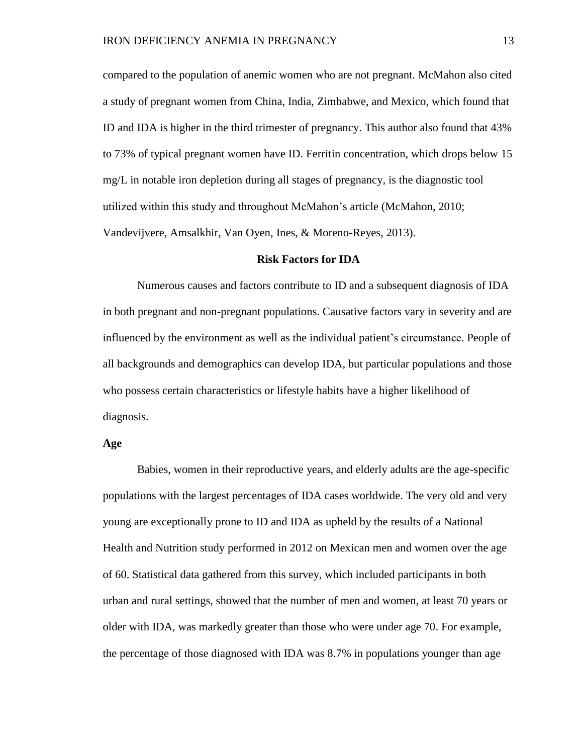compared to the population of anemic women who are not pregnant. McMahon also cited a study of pregnant women from China, India, Zimbabwe, and Mexico, which found that ID and IDA is higher in the third trimester of pregnancy. This author also found that 43% to 73% of typical pregnant women have ID. Ferritin concentration, which drops below 15 mg/L in notable iron depletion during all stages of pregnancy, is the diagnostic tool utilized within this study and throughout McMahon's article (McMahon, 2010; Vandevijvere, Amsalkhir, Van Oyen, Ines, & Moreno-Reyes, 2013).

#### **Risk Factors for IDA**

Numerous causes and factors contribute to ID and a subsequent diagnosis of IDA in both pregnant and non-pregnant populations. Causative factors vary in severity and are influenced by the environment as well as the individual patient's circumstance. People of all backgrounds and demographics can develop IDA, but particular populations and those who possess certain characteristics or lifestyle habits have a higher likelihood of diagnosis.

### **Age**

Babies, women in their reproductive years, and elderly adults are the age-specific populations with the largest percentages of IDA cases worldwide. The very old and very young are exceptionally prone to ID and IDA as upheld by the results of a National Health and Nutrition study performed in 2012 on Mexican men and women over the age of 60. Statistical data gathered from this survey, which included participants in both urban and rural settings, showed that the number of men and women, at least 70 years or older with IDA, was markedly greater than those who were under age 70. For example, the percentage of those diagnosed with IDA was 8.7% in populations younger than age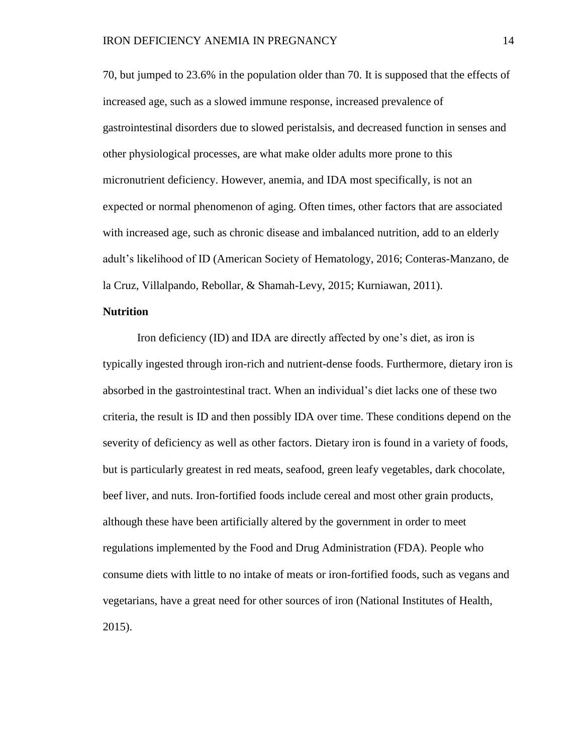70, but jumped to 23.6% in the population older than 70. It is supposed that the effects of increased age, such as a slowed immune response, increased prevalence of gastrointestinal disorders due to slowed peristalsis, and decreased function in senses and other physiological processes, are what make older adults more prone to this micronutrient deficiency. However, anemia, and IDA most specifically, is not an expected or normal phenomenon of aging. Often times, other factors that are associated with increased age, such as chronic disease and imbalanced nutrition, add to an elderly adult's likelihood of ID (American Society of Hematology, 2016; Conteras-Manzano, de la Cruz, Villalpando, Rebollar, & Shamah-Levy, 2015; Kurniawan, 2011).

## **Nutrition**

Iron deficiency (ID) and IDA are directly affected by one's diet, as iron is typically ingested through iron-rich and nutrient-dense foods. Furthermore, dietary iron is absorbed in the gastrointestinal tract. When an individual's diet lacks one of these two criteria, the result is ID and then possibly IDA over time. These conditions depend on the severity of deficiency as well as other factors. Dietary iron is found in a variety of foods, but is particularly greatest in red meats, seafood, green leafy vegetables, dark chocolate, beef liver, and nuts. Iron-fortified foods include cereal and most other grain products, although these have been artificially altered by the government in order to meet regulations implemented by the Food and Drug Administration (FDA). People who consume diets with little to no intake of meats or iron-fortified foods, such as vegans and vegetarians, have a great need for other sources of iron (National Institutes of Health, 2015).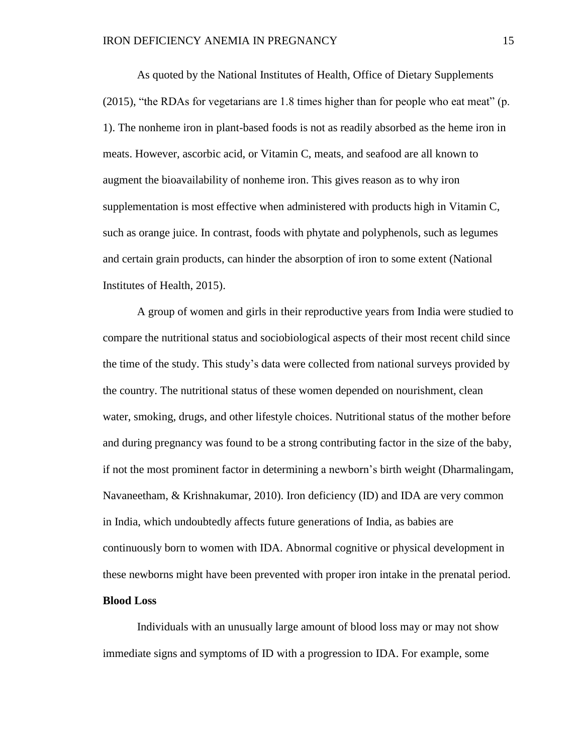As quoted by the National Institutes of Health, Office of Dietary Supplements (2015), "the RDAs for vegetarians are 1.8 times higher than for people who eat meat" (p. 1). The nonheme iron in plant-based foods is not as readily absorbed as the heme iron in meats. However, ascorbic acid, or Vitamin C, meats, and seafood are all known to augment the bioavailability of nonheme iron. This gives reason as to why iron supplementation is most effective when administered with products high in Vitamin C, such as orange juice. In contrast, foods with phytate and polyphenols, such as legumes and certain grain products, can hinder the absorption of iron to some extent (National Institutes of Health, 2015).

A group of women and girls in their reproductive years from India were studied to compare the nutritional status and sociobiological aspects of their most recent child since the time of the study. This study's data were collected from national surveys provided by the country. The nutritional status of these women depended on nourishment, clean water, smoking, drugs, and other lifestyle choices. Nutritional status of the mother before and during pregnancy was found to be a strong contributing factor in the size of the baby, if not the most prominent factor in determining a newborn's birth weight (Dharmalingam, Navaneetham, & Krishnakumar, 2010). Iron deficiency (ID) and IDA are very common in India, which undoubtedly affects future generations of India, as babies are continuously born to women with IDA. Abnormal cognitive or physical development in these newborns might have been prevented with proper iron intake in the prenatal period.

## **Blood Loss**

Individuals with an unusually large amount of blood loss may or may not show immediate signs and symptoms of ID with a progression to IDA. For example, some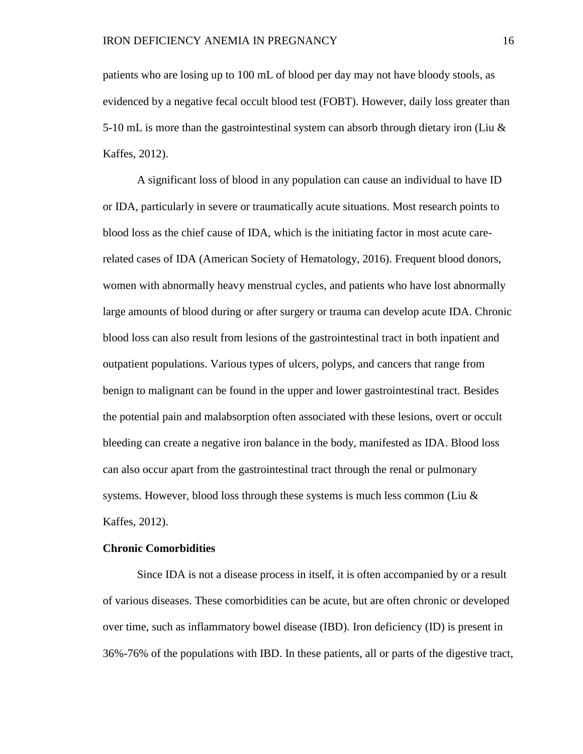patients who are losing up to 100 mL of blood per day may not have bloody stools, as evidenced by a negative fecal occult blood test (FOBT). However, daily loss greater than 5-10 mL is more than the gastrointestinal system can absorb through dietary iron (Liu  $\&$ Kaffes, 2012).

A significant loss of blood in any population can cause an individual to have ID or IDA, particularly in severe or traumatically acute situations. Most research points to blood loss as the chief cause of IDA, which is the initiating factor in most acute carerelated cases of IDA (American Society of Hematology, 2016). Frequent blood donors, women with abnormally heavy menstrual cycles, and patients who have lost abnormally large amounts of blood during or after surgery or trauma can develop acute IDA. Chronic blood loss can also result from lesions of the gastrointestinal tract in both inpatient and outpatient populations. Various types of ulcers, polyps, and cancers that range from benign to malignant can be found in the upper and lower gastrointestinal tract. Besides the potential pain and malabsorption often associated with these lesions, overt or occult bleeding can create a negative iron balance in the body, manifested as IDA. Blood loss can also occur apart from the gastrointestinal tract through the renal or pulmonary systems. However, blood loss through these systems is much less common (Liu  $\&$ Kaffes, 2012).

#### **Chronic Comorbidities**

Since IDA is not a disease process in itself, it is often accompanied by or a result of various diseases. These comorbidities can be acute, but are often chronic or developed over time, such as inflammatory bowel disease (IBD). Iron deficiency (ID) is present in 36%-76% of the populations with IBD. In these patients, all or parts of the digestive tract,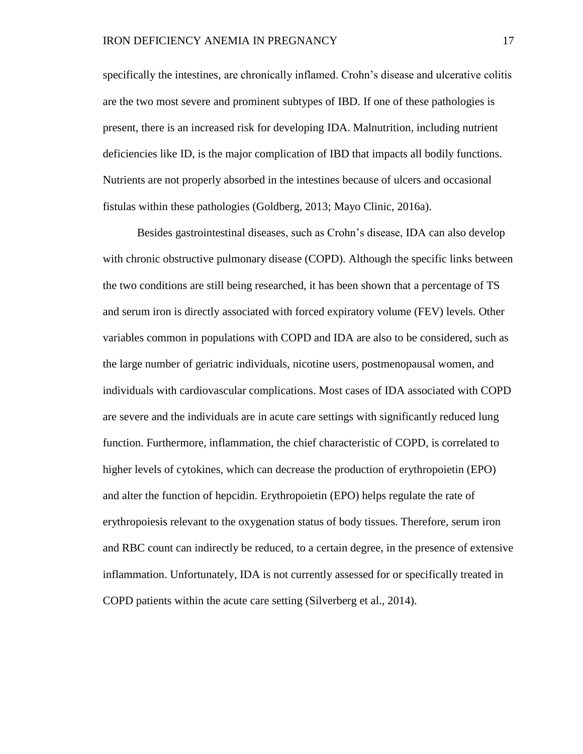specifically the intestines, are chronically inflamed. Crohn's disease and ulcerative colitis are the two most severe and prominent subtypes of IBD. If one of these pathologies is present, there is an increased risk for developing IDA. Malnutrition, including nutrient deficiencies like ID, is the major complication of IBD that impacts all bodily functions. Nutrients are not properly absorbed in the intestines because of ulcers and occasional fistulas within these pathologies (Goldberg, 2013; Mayo Clinic, 2016a).

Besides gastrointestinal diseases, such as Crohn's disease, IDA can also develop with chronic obstructive pulmonary disease (COPD). Although the specific links between the two conditions are still being researched, it has been shown that a percentage of TS and serum iron is directly associated with forced expiratory volume (FEV) levels. Other variables common in populations with COPD and IDA are also to be considered, such as the large number of geriatric individuals, nicotine users, postmenopausal women, and individuals with cardiovascular complications. Most cases of IDA associated with COPD are severe and the individuals are in acute care settings with significantly reduced lung function. Furthermore, inflammation, the chief characteristic of COPD, is correlated to higher levels of cytokines, which can decrease the production of erythropoietin (EPO) and alter the function of hepcidin. Erythropoietin (EPO) helps regulate the rate of erythropoiesis relevant to the oxygenation status of body tissues. Therefore, serum iron and RBC count can indirectly be reduced, to a certain degree, in the presence of extensive inflammation. Unfortunately, IDA is not currently assessed for or specifically treated in COPD patients within the acute care setting (Silverberg et al., 2014).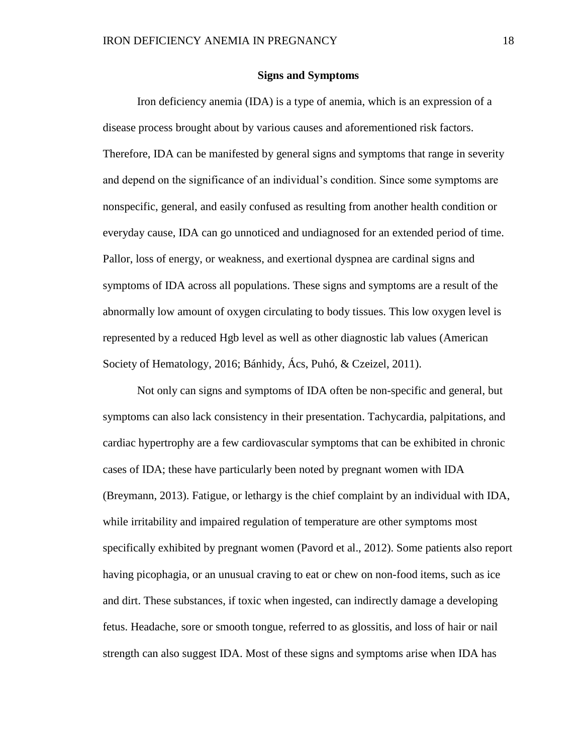### **Signs and Symptoms**

Iron deficiency anemia (IDA) is a type of anemia, which is an expression of a disease process brought about by various causes and aforementioned risk factors. Therefore, IDA can be manifested by general signs and symptoms that range in severity and depend on the significance of an individual's condition. Since some symptoms are nonspecific, general, and easily confused as resulting from another health condition or everyday cause, IDA can go unnoticed and undiagnosed for an extended period of time. Pallor, loss of energy, or weakness, and exertional dyspnea are cardinal signs and symptoms of IDA across all populations. These signs and symptoms are a result of the abnormally low amount of oxygen circulating to body tissues. This low oxygen level is represented by a reduced Hgb level as well as other diagnostic lab values (American Society of Hematology, 2016; Bánhidy, Ács, Puhó, & Czeizel, 2011).

Not only can signs and symptoms of IDA often be non-specific and general, but symptoms can also lack consistency in their presentation. Tachycardia, palpitations, and cardiac hypertrophy are a few cardiovascular symptoms that can be exhibited in chronic cases of IDA; these have particularly been noted by pregnant women with IDA (Breymann, 2013). Fatigue, or lethargy is the chief complaint by an individual with IDA, while irritability and impaired regulation of temperature are other symptoms most specifically exhibited by pregnant women (Pavord et al., 2012). Some patients also report having picophagia, or an unusual craving to eat or chew on non-food items, such as ice and dirt. These substances, if toxic when ingested, can indirectly damage a developing fetus. Headache, sore or smooth tongue, referred to as glossitis, and loss of hair or nail strength can also suggest IDA. Most of these signs and symptoms arise when IDA has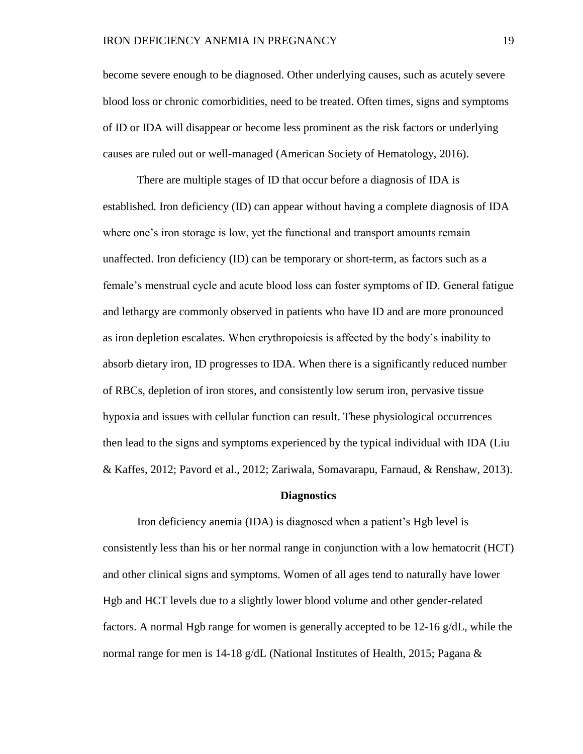become severe enough to be diagnosed. Other underlying causes, such as acutely severe blood loss or chronic comorbidities, need to be treated. Often times, signs and symptoms of ID or IDA will disappear or become less prominent as the risk factors or underlying causes are ruled out or well-managed (American Society of Hematology, 2016).

There are multiple stages of ID that occur before a diagnosis of IDA is established. Iron deficiency (ID) can appear without having a complete diagnosis of IDA where one's iron storage is low, yet the functional and transport amounts remain unaffected. Iron deficiency (ID) can be temporary or short-term, as factors such as a female's menstrual cycle and acute blood loss can foster symptoms of ID. General fatigue and lethargy are commonly observed in patients who have ID and are more pronounced as iron depletion escalates. When erythropoiesis is affected by the body's inability to absorb dietary iron, ID progresses to IDA. When there is a significantly reduced number of RBCs, depletion of iron stores, and consistently low serum iron, pervasive tissue hypoxia and issues with cellular function can result. These physiological occurrences then lead to the signs and symptoms experienced by the typical individual with IDA (Liu & Kaffes, 2012; Pavord et al., 2012; Zariwala, Somavarapu, Farnaud, & Renshaw, 2013).

#### **Diagnostics**

Iron deficiency anemia (IDA) is diagnosed when a patient's Hgb level is consistently less than his or her normal range in conjunction with a low hematocrit (HCT) and other clinical signs and symptoms. Women of all ages tend to naturally have lower Hgb and HCT levels due to a slightly lower blood volume and other gender-related factors. A normal Hgb range for women is generally accepted to be  $12{\text -}16$  g/dL, while the normal range for men is 14-18 g/dL (National Institutes of Health, 2015; Pagana  $\&$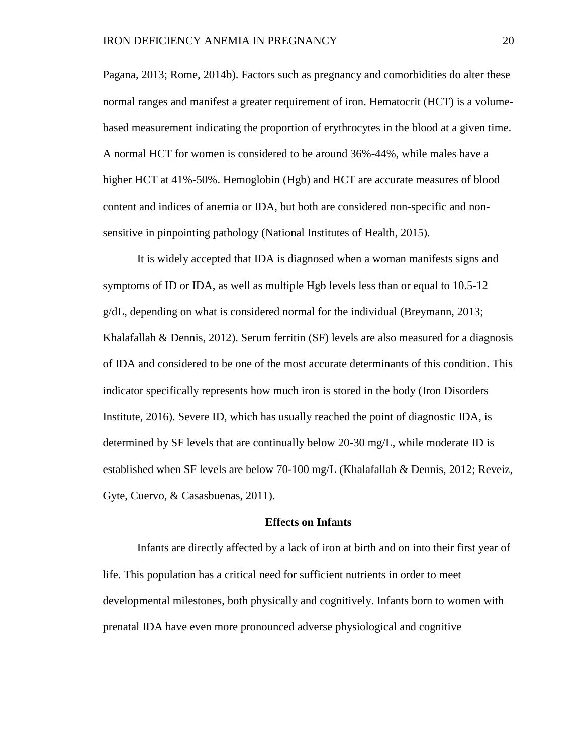Pagana, 2013; Rome, 2014b). Factors such as pregnancy and comorbidities do alter these normal ranges and manifest a greater requirement of iron. Hematocrit (HCT) is a volumebased measurement indicating the proportion of erythrocytes in the blood at a given time. A normal HCT for women is considered to be around 36%-44%, while males have a higher HCT at 41%-50%. Hemoglobin (Hgb) and HCT are accurate measures of blood content and indices of anemia or IDA, but both are considered non-specific and nonsensitive in pinpointing pathology (National Institutes of Health, 2015).

It is widely accepted that IDA is diagnosed when a woman manifests signs and symptoms of ID or IDA, as well as multiple Hgb levels less than or equal to 10.5-12 g/dL, depending on what is considered normal for the individual (Breymann, 2013; Khalafallah & Dennis, 2012). Serum ferritin (SF) levels are also measured for a diagnosis of IDA and considered to be one of the most accurate determinants of this condition. This indicator specifically represents how much iron is stored in the body (Iron Disorders Institute, 2016). Severe ID, which has usually reached the point of diagnostic IDA, is determined by SF levels that are continually below 20-30 mg/L, while moderate ID is established when SF levels are below 70-100 mg/L (Khalafallah & Dennis, 2012; Reveiz, Gyte, Cuervo, & Casasbuenas, 2011).

### **Effects on Infants**

Infants are directly affected by a lack of iron at birth and on into their first year of life. This population has a critical need for sufficient nutrients in order to meet developmental milestones, both physically and cognitively. Infants born to women with prenatal IDA have even more pronounced adverse physiological and cognitive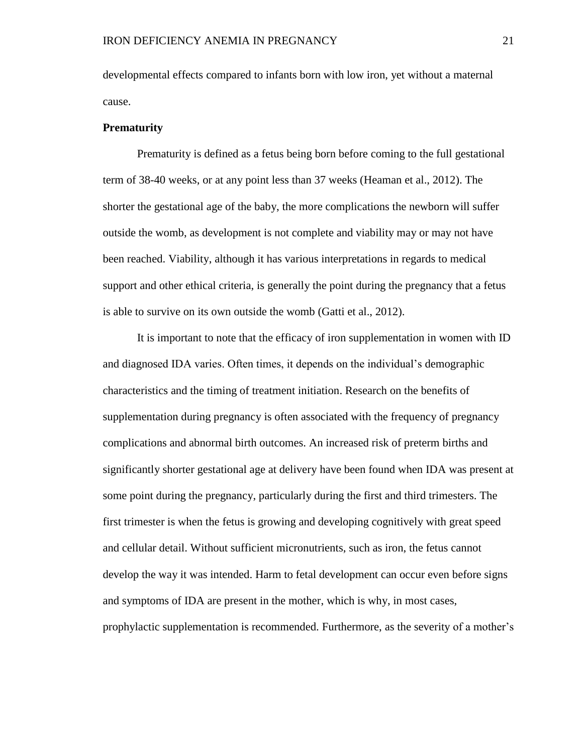developmental effects compared to infants born with low iron, yet without a maternal cause.

## **Prematurity**

Prematurity is defined as a fetus being born before coming to the full gestational term of 38-40 weeks, or at any point less than 37 weeks (Heaman et al., 2012). The shorter the gestational age of the baby, the more complications the newborn will suffer outside the womb, as development is not complete and viability may or may not have been reached. Viability, although it has various interpretations in regards to medical support and other ethical criteria, is generally the point during the pregnancy that a fetus is able to survive on its own outside the womb (Gatti et al., 2012).

It is important to note that the efficacy of iron supplementation in women with ID and diagnosed IDA varies. Often times, it depends on the individual's demographic characteristics and the timing of treatment initiation. Research on the benefits of supplementation during pregnancy is often associated with the frequency of pregnancy complications and abnormal birth outcomes. An increased risk of preterm births and significantly shorter gestational age at delivery have been found when IDA was present at some point during the pregnancy, particularly during the first and third trimesters. The first trimester is when the fetus is growing and developing cognitively with great speed and cellular detail. Without sufficient micronutrients, such as iron, the fetus cannot develop the way it was intended. Harm to fetal development can occur even before signs and symptoms of IDA are present in the mother, which is why, in most cases, prophylactic supplementation is recommended. Furthermore, as the severity of a mother's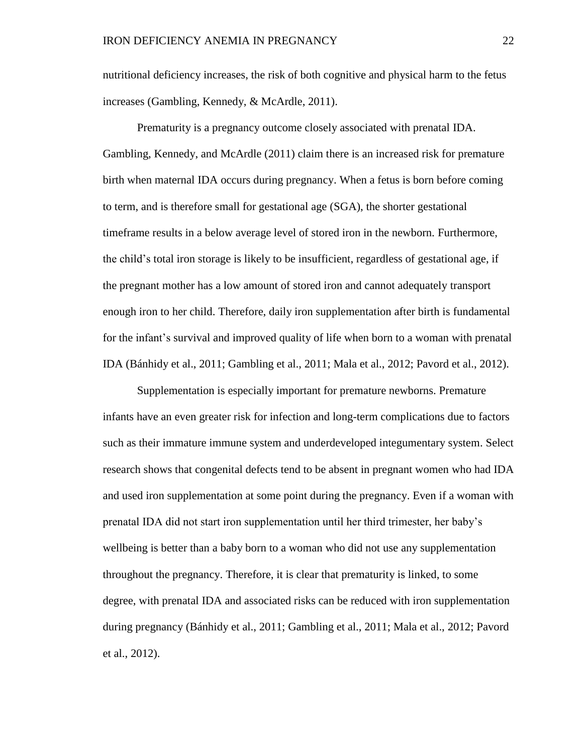nutritional deficiency increases, the risk of both cognitive and physical harm to the fetus increases (Gambling, Kennedy, & McArdle, 2011).

Prematurity is a pregnancy outcome closely associated with prenatal IDA. Gambling, Kennedy, and McArdle (2011) claim there is an increased risk for premature birth when maternal IDA occurs during pregnancy. When a fetus is born before coming to term, and is therefore small for gestational age (SGA), the shorter gestational timeframe results in a below average level of stored iron in the newborn. Furthermore, the child's total iron storage is likely to be insufficient, regardless of gestational age, if the pregnant mother has a low amount of stored iron and cannot adequately transport enough iron to her child. Therefore, daily iron supplementation after birth is fundamental for the infant's survival and improved quality of life when born to a woman with prenatal IDA (Bánhidy et al., 2011; Gambling et al., 2011; Mala et al., 2012; Pavord et al., 2012).

Supplementation is especially important for premature newborns. Premature infants have an even greater risk for infection and long-term complications due to factors such as their immature immune system and underdeveloped integumentary system. Select research shows that congenital defects tend to be absent in pregnant women who had IDA and used iron supplementation at some point during the pregnancy. Even if a woman with prenatal IDA did not start iron supplementation until her third trimester, her baby's wellbeing is better than a baby born to a woman who did not use any supplementation throughout the pregnancy. Therefore, it is clear that prematurity is linked, to some degree, with prenatal IDA and associated risks can be reduced with iron supplementation during pregnancy (Bánhidy et al., 2011; Gambling et al., 2011; Mala et al., 2012; Pavord et al., 2012).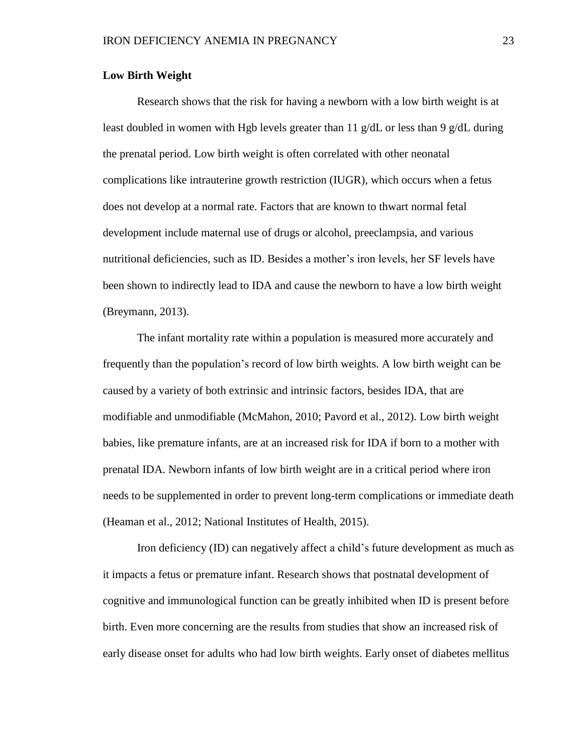## **Low Birth Weight**

Research shows that the risk for having a newborn with a low birth weight is at least doubled in women with Hgb levels greater than 11  $g/dL$  or less than 9  $g/dL$  during the prenatal period. Low birth weight is often correlated with other neonatal complications like intrauterine growth restriction (IUGR), which occurs when a fetus does not develop at a normal rate. Factors that are known to thwart normal fetal development include maternal use of drugs or alcohol, preeclampsia, and various nutritional deficiencies, such as ID. Besides a mother's iron levels, her SF levels have been shown to indirectly lead to IDA and cause the newborn to have a low birth weight (Breymann, 2013).

The infant mortality rate within a population is measured more accurately and frequently than the population's record of low birth weights. A low birth weight can be caused by a variety of both extrinsic and intrinsic factors, besides IDA, that are modifiable and unmodifiable (McMahon, 2010; Pavord et al., 2012). Low birth weight babies, like premature infants, are at an increased risk for IDA if born to a mother with prenatal IDA. Newborn infants of low birth weight are in a critical period where iron needs to be supplemented in order to prevent long-term complications or immediate death (Heaman et al., 2012; National Institutes of Health, 2015).

Iron deficiency (ID) can negatively affect a child's future development as much as it impacts a fetus or premature infant. Research shows that postnatal development of cognitive and immunological function can be greatly inhibited when ID is present before birth. Even more concerning are the results from studies that show an increased risk of early disease onset for adults who had low birth weights. Early onset of diabetes mellitus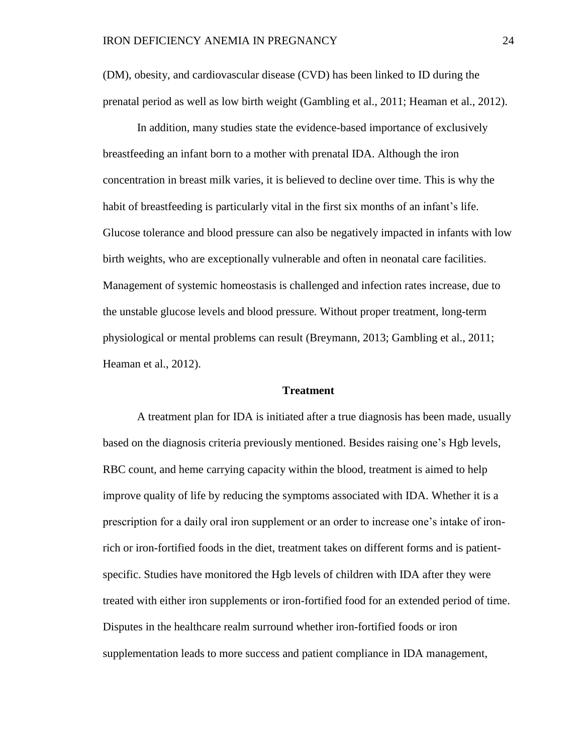(DM), obesity, and cardiovascular disease (CVD) has been linked to ID during the prenatal period as well as low birth weight (Gambling et al., 2011; Heaman et al., 2012).

In addition, many studies state the evidence-based importance of exclusively breastfeeding an infant born to a mother with prenatal IDA. Although the iron concentration in breast milk varies, it is believed to decline over time. This is why the habit of breastfeeding is particularly vital in the first six months of an infant's life. Glucose tolerance and blood pressure can also be negatively impacted in infants with low birth weights, who are exceptionally vulnerable and often in neonatal care facilities. Management of systemic homeostasis is challenged and infection rates increase, due to the unstable glucose levels and blood pressure. Without proper treatment, long-term physiological or mental problems can result (Breymann, 2013; Gambling et al., 2011; Heaman et al., 2012).

### **Treatment**

A treatment plan for IDA is initiated after a true diagnosis has been made, usually based on the diagnosis criteria previously mentioned. Besides raising one's Hgb levels, RBC count, and heme carrying capacity within the blood, treatment is aimed to help improve quality of life by reducing the symptoms associated with IDA. Whether it is a prescription for a daily oral iron supplement or an order to increase one's intake of ironrich or iron-fortified foods in the diet, treatment takes on different forms and is patientspecific. Studies have monitored the Hgb levels of children with IDA after they were treated with either iron supplements or iron-fortified food for an extended period of time. Disputes in the healthcare realm surround whether iron-fortified foods or iron supplementation leads to more success and patient compliance in IDA management,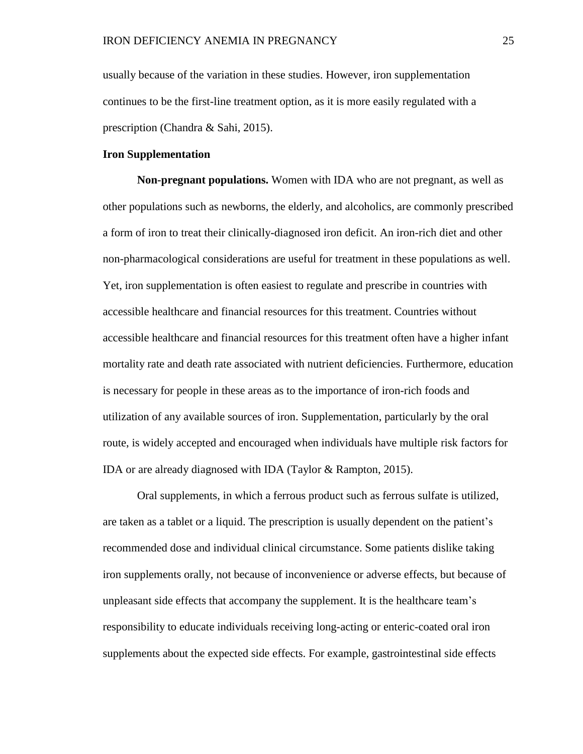usually because of the variation in these studies. However, iron supplementation continues to be the first-line treatment option, as it is more easily regulated with a prescription (Chandra & Sahi, 2015).

### **Iron Supplementation**

**Non-pregnant populations.** Women with IDA who are not pregnant, as well as other populations such as newborns, the elderly, and alcoholics, are commonly prescribed a form of iron to treat their clinically-diagnosed iron deficit. An iron-rich diet and other non-pharmacological considerations are useful for treatment in these populations as well. Yet, iron supplementation is often easiest to regulate and prescribe in countries with accessible healthcare and financial resources for this treatment. Countries without accessible healthcare and financial resources for this treatment often have a higher infant mortality rate and death rate associated with nutrient deficiencies. Furthermore, education is necessary for people in these areas as to the importance of iron-rich foods and utilization of any available sources of iron. Supplementation, particularly by the oral route, is widely accepted and encouraged when individuals have multiple risk factors for IDA or are already diagnosed with IDA (Taylor & Rampton, 2015).

Oral supplements, in which a ferrous product such as ferrous sulfate is utilized, are taken as a tablet or a liquid. The prescription is usually dependent on the patient's recommended dose and individual clinical circumstance. Some patients dislike taking iron supplements orally, not because of inconvenience or adverse effects, but because of unpleasant side effects that accompany the supplement. It is the healthcare team's responsibility to educate individuals receiving long-acting or enteric-coated oral iron supplements about the expected side effects. For example, gastrointestinal side effects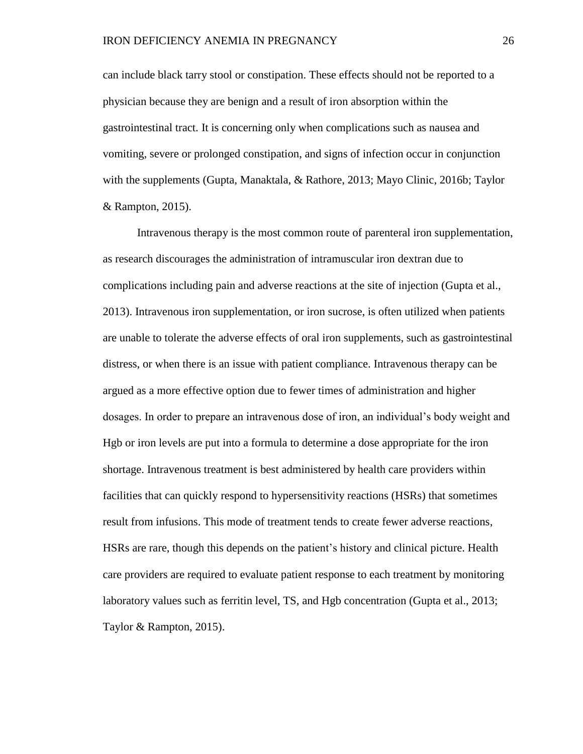can include black tarry stool or constipation. These effects should not be reported to a physician because they are benign and a result of iron absorption within the gastrointestinal tract. It is concerning only when complications such as nausea and vomiting, severe or prolonged constipation, and signs of infection occur in conjunction with the supplements (Gupta, Manaktala, & Rathore, 2013; Mayo Clinic, 2016b; Taylor & Rampton, 2015).

Intravenous therapy is the most common route of parenteral iron supplementation, as research discourages the administration of intramuscular iron dextran due to complications including pain and adverse reactions at the site of injection (Gupta et al., 2013). Intravenous iron supplementation, or iron sucrose, is often utilized when patients are unable to tolerate the adverse effects of oral iron supplements, such as gastrointestinal distress, or when there is an issue with patient compliance. Intravenous therapy can be argued as a more effective option due to fewer times of administration and higher dosages. In order to prepare an intravenous dose of iron, an individual's body weight and Hgb or iron levels are put into a formula to determine a dose appropriate for the iron shortage. Intravenous treatment is best administered by health care providers within facilities that can quickly respond to hypersensitivity reactions (HSRs) that sometimes result from infusions. This mode of treatment tends to create fewer adverse reactions, HSRs are rare, though this depends on the patient's history and clinical picture. Health care providers are required to evaluate patient response to each treatment by monitoring laboratory values such as ferritin level, TS, and Hgb concentration (Gupta et al., 2013; Taylor & Rampton, 2015).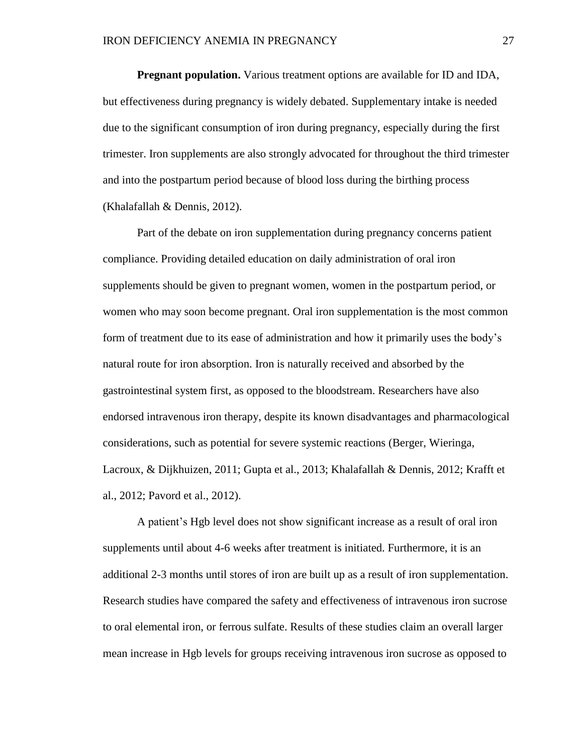**Pregnant population.** Various treatment options are available for ID and IDA, but effectiveness during pregnancy is widely debated. Supplementary intake is needed due to the significant consumption of iron during pregnancy, especially during the first trimester. Iron supplements are also strongly advocated for throughout the third trimester and into the postpartum period because of blood loss during the birthing process (Khalafallah & Dennis, 2012).

Part of the debate on iron supplementation during pregnancy concerns patient compliance. Providing detailed education on daily administration of oral iron supplements should be given to pregnant women, women in the postpartum period, or women who may soon become pregnant. Oral iron supplementation is the most common form of treatment due to its ease of administration and how it primarily uses the body's natural route for iron absorption. Iron is naturally received and absorbed by the gastrointestinal system first, as opposed to the bloodstream. Researchers have also endorsed intravenous iron therapy, despite its known disadvantages and pharmacological considerations, such as potential for severe systemic reactions (Berger, Wieringa, Lacroux, & Dijkhuizen, 2011; Gupta et al., 2013; Khalafallah & Dennis, 2012; Krafft et al., 2012; Pavord et al., 2012).

A patient's Hgb level does not show significant increase as a result of oral iron supplements until about 4-6 weeks after treatment is initiated. Furthermore, it is an additional 2-3 months until stores of iron are built up as a result of iron supplementation. Research studies have compared the safety and effectiveness of intravenous iron sucrose to oral elemental iron, or ferrous sulfate. Results of these studies claim an overall larger mean increase in Hgb levels for groups receiving intravenous iron sucrose as opposed to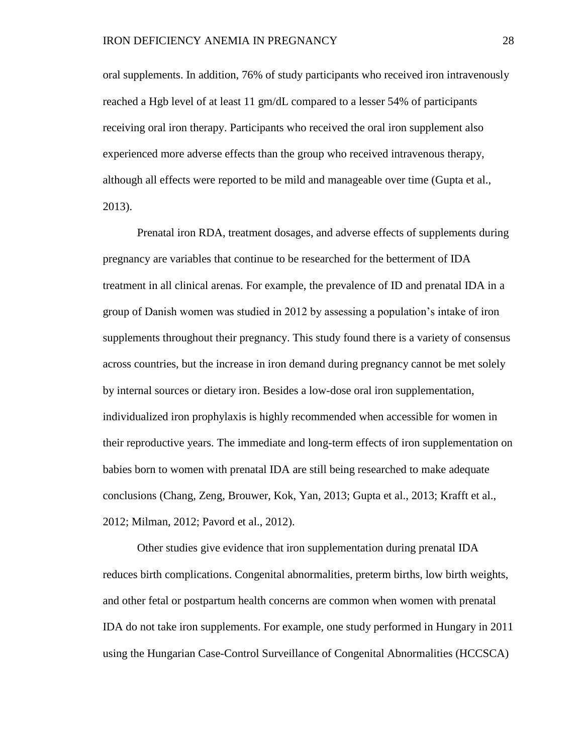oral supplements. In addition, 76% of study participants who received iron intravenously reached a Hgb level of at least 11 gm/dL compared to a lesser 54% of participants receiving oral iron therapy. Participants who received the oral iron supplement also experienced more adverse effects than the group who received intravenous therapy, although all effects were reported to be mild and manageable over time (Gupta et al., 2013).

Prenatal iron RDA, treatment dosages, and adverse effects of supplements during pregnancy are variables that continue to be researched for the betterment of IDA treatment in all clinical arenas. For example, the prevalence of ID and prenatal IDA in a group of Danish women was studied in 2012 by assessing a population's intake of iron supplements throughout their pregnancy. This study found there is a variety of consensus across countries, but the increase in iron demand during pregnancy cannot be met solely by internal sources or dietary iron. Besides a low-dose oral iron supplementation, individualized iron prophylaxis is highly recommended when accessible for women in their reproductive years. The immediate and long-term effects of iron supplementation on babies born to women with prenatal IDA are still being researched to make adequate conclusions (Chang, Zeng, Brouwer, Kok, Yan, 2013; Gupta et al., 2013; Krafft et al., 2012; Milman, 2012; Pavord et al., 2012).

Other studies give evidence that iron supplementation during prenatal IDA reduces birth complications. Congenital abnormalities, preterm births, low birth weights, and other fetal or postpartum health concerns are common when women with prenatal IDA do not take iron supplements. For example, one study performed in Hungary in 2011 using the Hungarian Case-Control Surveillance of Congenital Abnormalities (HCCSCA)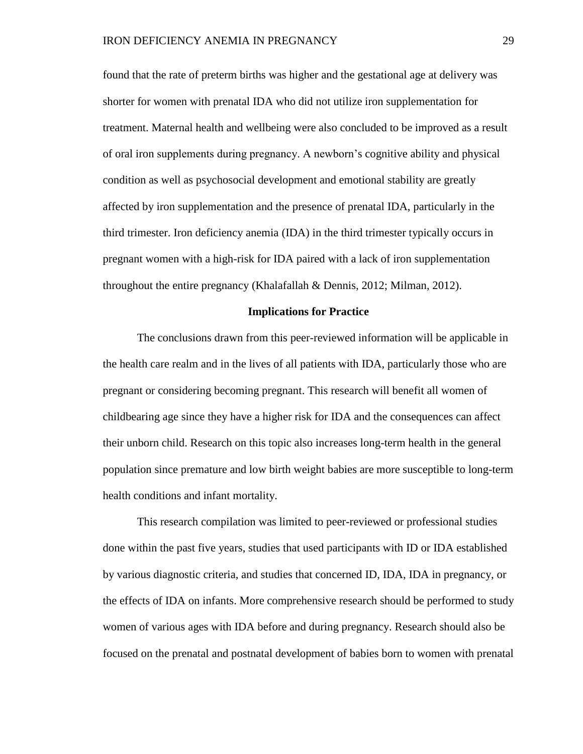found that the rate of preterm births was higher and the gestational age at delivery was shorter for women with prenatal IDA who did not utilize iron supplementation for treatment. Maternal health and wellbeing were also concluded to be improved as a result of oral iron supplements during pregnancy. A newborn's cognitive ability and physical condition as well as psychosocial development and emotional stability are greatly affected by iron supplementation and the presence of prenatal IDA, particularly in the third trimester. Iron deficiency anemia (IDA) in the third trimester typically occurs in pregnant women with a high-risk for IDA paired with a lack of iron supplementation throughout the entire pregnancy (Khalafallah & Dennis, 2012; Milman, 2012).

#### **Implications for Practice**

The conclusions drawn from this peer-reviewed information will be applicable in the health care realm and in the lives of all patients with IDA, particularly those who are pregnant or considering becoming pregnant. This research will benefit all women of childbearing age since they have a higher risk for IDA and the consequences can affect their unborn child. Research on this topic also increases long-term health in the general population since premature and low birth weight babies are more susceptible to long-term health conditions and infant mortality.

This research compilation was limited to peer-reviewed or professional studies done within the past five years, studies that used participants with ID or IDA established by various diagnostic criteria, and studies that concerned ID, IDA, IDA in pregnancy, or the effects of IDA on infants. More comprehensive research should be performed to study women of various ages with IDA before and during pregnancy. Research should also be focused on the prenatal and postnatal development of babies born to women with prenatal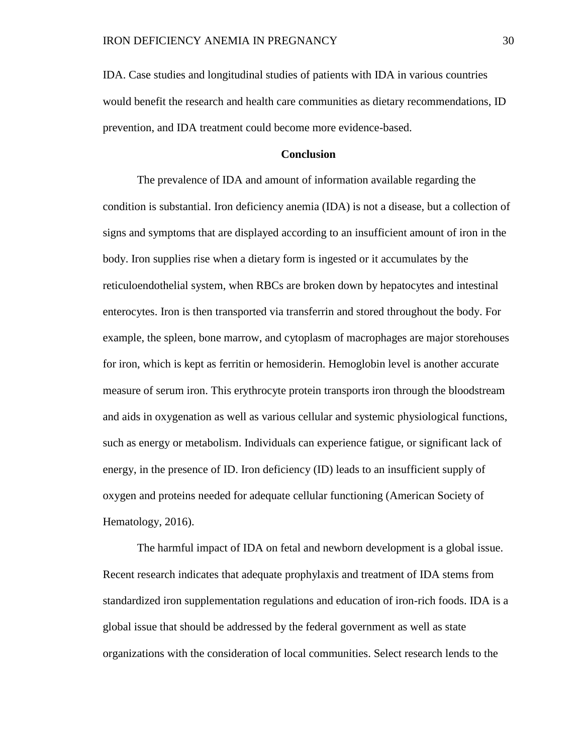IDA. Case studies and longitudinal studies of patients with IDA in various countries would benefit the research and health care communities as dietary recommendations, ID prevention, and IDA treatment could become more evidence-based.

## **Conclusion**

The prevalence of IDA and amount of information available regarding the condition is substantial. Iron deficiency anemia (IDA) is not a disease, but a collection of signs and symptoms that are displayed according to an insufficient amount of iron in the body. Iron supplies rise when a dietary form is ingested or it accumulates by the reticuloendothelial system, when RBCs are broken down by hepatocytes and intestinal enterocytes. Iron is then transported via transferrin and stored throughout the body. For example, the spleen, bone marrow, and cytoplasm of macrophages are major storehouses for iron, which is kept as ferritin or hemosiderin. Hemoglobin level is another accurate measure of serum iron. This erythrocyte protein transports iron through the bloodstream and aids in oxygenation as well as various cellular and systemic physiological functions, such as energy or metabolism. Individuals can experience fatigue, or significant lack of energy, in the presence of ID. Iron deficiency (ID) leads to an insufficient supply of oxygen and proteins needed for adequate cellular functioning (American Society of Hematology, 2016).

The harmful impact of IDA on fetal and newborn development is a global issue. Recent research indicates that adequate prophylaxis and treatment of IDA stems from standardized iron supplementation regulations and education of iron-rich foods. IDA is a global issue that should be addressed by the federal government as well as state organizations with the consideration of local communities. Select research lends to the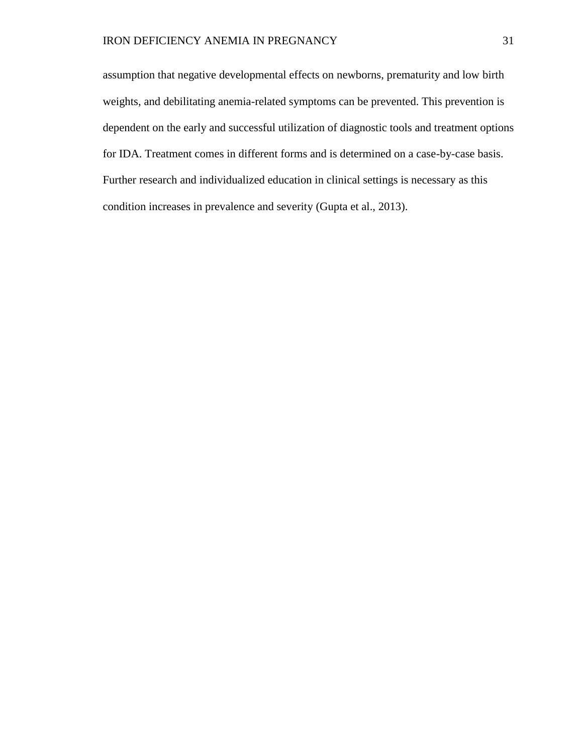assumption that negative developmental effects on newborns, prematurity and low birth weights, and debilitating anemia-related symptoms can be prevented. This prevention is dependent on the early and successful utilization of diagnostic tools and treatment options for IDA. Treatment comes in different forms and is determined on a case-by-case basis. Further research and individualized education in clinical settings is necessary as this condition increases in prevalence and severity (Gupta et al., 2013).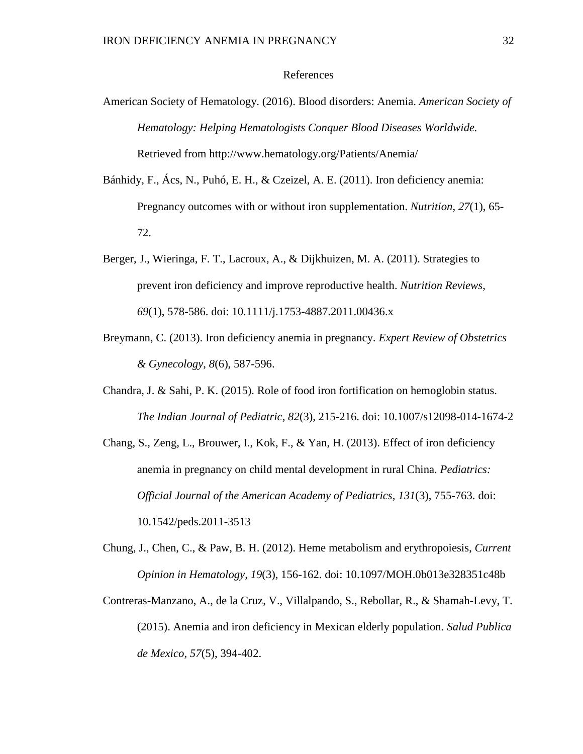### References

- American Society of Hematology. (2016). Blood disorders: Anemia. *American Society of Hematology: Helping Hematologists Conquer Blood Diseases Worldwide.* Retrieved from http://www.hematology.org/Patients/Anemia/
- Bánhidy, F., Ács, N., Puhó, E. H., & Czeizel, A. E. (2011). Iron deficiency anemia: Pregnancy outcomes with or without iron supplementation. *Nutrition*, *27*(1), 65- 72.
- Berger, J., Wieringa, F. T., Lacroux, A., & Dijkhuizen, M. A. (2011). Strategies to prevent iron deficiency and improve reproductive health. *Nutrition Reviews*, *69*(1), 578-586. doi: 10.1111/j.1753-4887.2011.00436.x
- Breymann, C. (2013). Iron deficiency anemia in pregnancy. *Expert Review of Obstetrics & Gynecology*, *8*(6), 587-596.
- Chandra, J. & Sahi, P. K. (2015). Role of food iron fortification on hemoglobin status. *The Indian Journal of Pediatric, 82*(3), 215-216. doi: 10.1007/s12098-014-1674-2
- Chang, S., Zeng, L., Brouwer, I., Kok, F., & Yan, H. (2013). Effect of iron deficiency anemia in pregnancy on child mental development in rural China. *Pediatrics: Official Journal of the American Academy of Pediatrics, 131*(3), 755-763. doi: 10.1542/peds.2011-3513
- Chung, J., Chen, C., & Paw, B. H. (2012). Heme metabolism and erythropoiesis, *Current Opinion in Hematology, 19*(3), 156-162. doi: 10.1097/MOH.0b013e328351c48b
- Contreras-Manzano, A., de la Cruz, V., Villalpando, S., Rebollar, R., & Shamah-Levy, T. (2015). Anemia and iron deficiency in Mexican elderly population. *Salud Publica de Mexico, 57*(5), 394-402.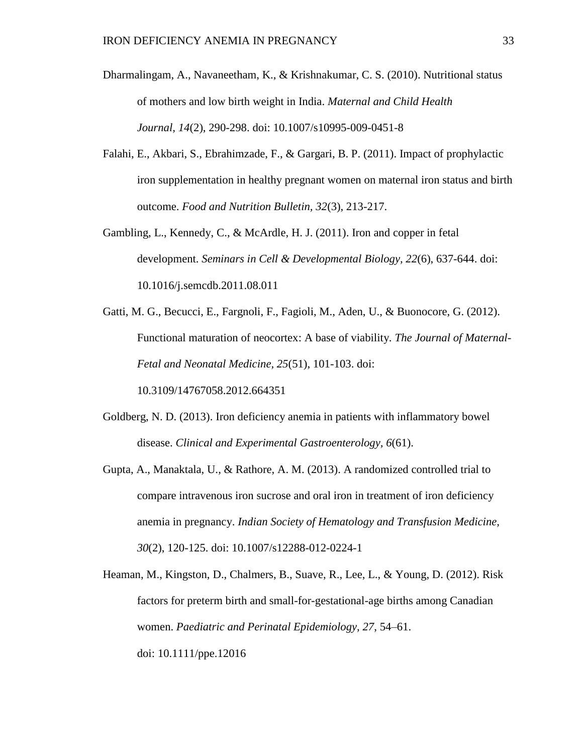- Dharmalingam, A., Navaneetham, K., & Krishnakumar, C. S. (2010). Nutritional status of mothers and low birth weight in India. *Maternal and Child Health Journal, 14*(2), 290-298. doi: 10.1007/s10995-009-0451-8
- Falahi, E., Akbari, S., Ebrahimzade, F., & Gargari, B. P. (2011). Impact of prophylactic iron supplementation in healthy pregnant women on maternal iron status and birth outcome. *Food and Nutrition Bulletin, 32*(3), 213-217.
- Gambling, L., Kennedy, C., & McArdle, H. J. (2011). Iron and copper in fetal development. *Seminars in Cell & Developmental Biology, 22*(6), 637-644. doi: 10.1016/j.semcdb.2011.08.011
- Gatti, M. G., Becucci, E., Fargnoli, F., Fagioli, M., Aden, U., & Buonocore, G. (2012). Functional maturation of neocortex: A base of viability. *The Journal of Maternal-Fetal and Neonatal Medicine, 25*(51), 101-103. doi: 10.3109/14767058.2012.664351
- Goldberg, N. D. (2013). Iron deficiency anemia in patients with inflammatory bowel disease. *Clinical and Experimental Gastroenterology, 6*(61).
- Gupta, A., Manaktala, U., & Rathore, A. M. (2013). A randomized controlled trial to compare intravenous iron sucrose and oral iron in treatment of iron deficiency anemia in pregnancy. *Indian Society of Hematology and Transfusion Medicine, 30*(2), 120-125. doi: 10.1007/s12288-012-0224-1
- Heaman, M., Kingston, D., Chalmers, B., Suave, R., Lee, L., & Young, D. (2012). Risk factors for preterm birth and small-for-gestational-age births among Canadian women. *Paediatric and Perinatal Epidemiology, 27*, 54–61. doi: 10.1111/ppe.12016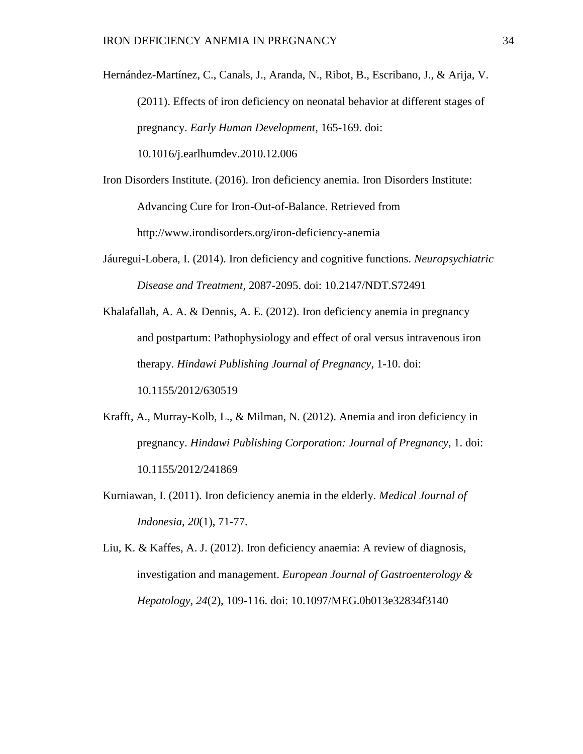Hernández-Martínez, C., Canals, J., Aranda, N., Ribot, B., Escribano, J., & Arija, V. (2011). Effects of iron deficiency on neonatal behavior at different stages of pregnancy. *Early Human Development,* 165-169. doi: 10.1016/j.earlhumdev.2010.12.006

Iron Disorders Institute. (2016). Iron deficiency anemia. Iron Disorders Institute: Advancing Cure for Iron-Out-of-Balance. Retrieved from http://www.irondisorders.org/iron-deficiency-anemia

- Jáuregui-Lobera, I. (2014). Iron deficiency and cognitive functions. *Neuropsychiatric Disease and Treatment,* 2087-2095. doi: 10.2147/NDT.S72491
- Khalafallah, A. A. & Dennis, A. E. (2012). Iron deficiency anemia in pregnancy and postpartum: Pathophysiology and effect of oral versus intravenous iron therapy. *Hindawi Publishing Journal of Pregnancy*, 1-10. doi: 10.1155/2012/630519
- Krafft, A., Murray-Kolb, L., & Milman, N. (2012). Anemia and iron deficiency in pregnancy. *Hindawi Publishing Corporation: Journal of Pregnancy*, 1. doi: 10.1155/2012/241869
- Kurniawan, I. (2011). Iron deficiency anemia in the elderly. *Medical Journal of Indonesia, 20*(1), 71-77.
- Liu, K. & Kaffes, A. J. (2012). Iron deficiency anaemia: A review of diagnosis, investigation and management. *European Journal of Gastroenterology & Hepatology, 24*(2), 109-116. doi: 10.1097/MEG.0b013e32834f3140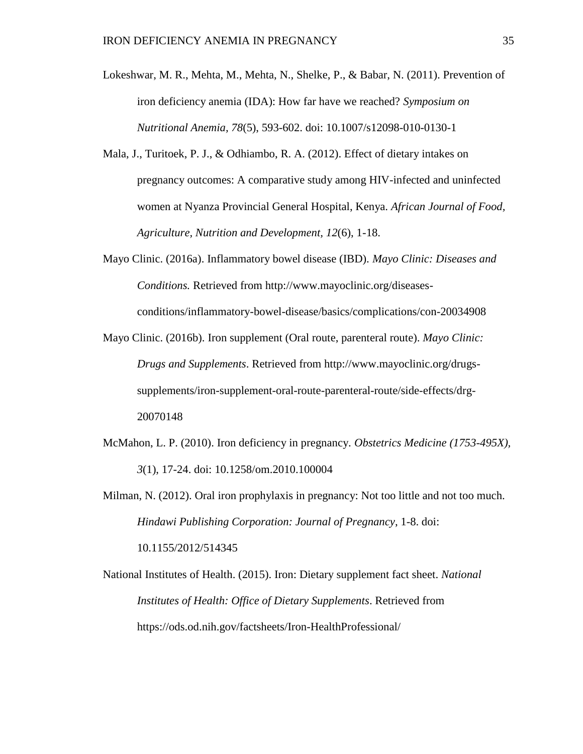- Lokeshwar, M. R., Mehta, M., Mehta, N., Shelke, P., & Babar, N. (2011). Prevention of iron deficiency anemia (IDA): How far have we reached? *Symposium on Nutritional Anemia, 78*(5), 593-602. doi: 10.1007/s12098-010-0130-1
- Mala, J., Turitoek, P. J., & Odhiambo, R. A. (2012). Effect of dietary intakes on pregnancy outcomes: A comparative study among HIV-infected and uninfected women at Nyanza Provincial General Hospital, Kenya. *African Journal of Food, Agriculture, Nutrition and Development, 12*(6), 1-18.
- Mayo Clinic. (2016a). Inflammatory bowel disease (IBD). *Mayo Clinic: Diseases and Conditions.* Retrieved from http://www.mayoclinic.org/diseasesconditions/inflammatory-bowel-disease/basics/complications/con-20034908
- Mayo Clinic. (2016b). Iron supplement (Oral route, parenteral route). *Mayo Clinic: Drugs and Supplements*. Retrieved from http://www.mayoclinic.org/drugssupplements/iron-supplement-oral-route-parenteral-route/side-effects/drg-20070148
- McMahon, L. P. (2010). Iron deficiency in pregnancy. *Obstetrics Medicine (1753-495X), 3*(1), 17-24. doi: 10.1258/om.2010.100004

Milman, N. (2012). Oral iron prophylaxis in pregnancy: Not too little and not too much. *Hindawi Publishing Corporation: Journal of Pregnancy*, 1-8. doi: 10.1155/2012/514345

National Institutes of Health. (2015). Iron: Dietary supplement fact sheet. *National Institutes of Health: Office of Dietary Supplements*. Retrieved from https://ods.od.nih.gov/factsheets/Iron-HealthProfessional/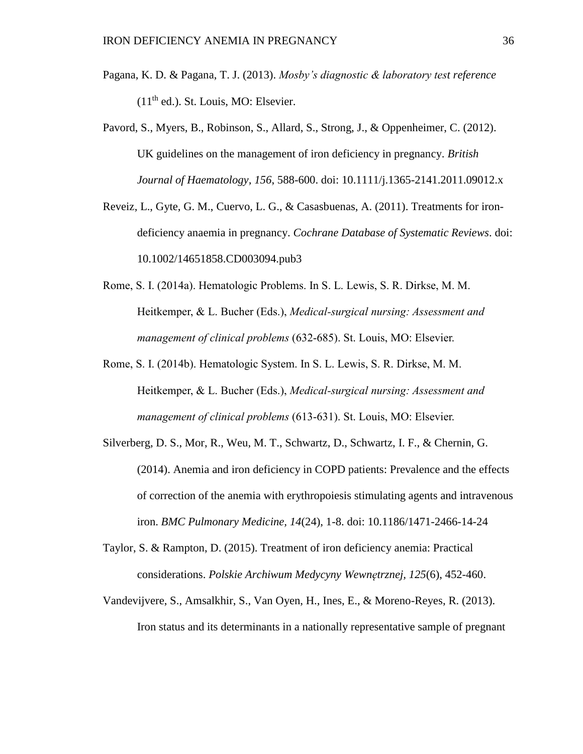- Pagana, K. D. & Pagana, T. J. (2013). *Mosby's diagnostic & laboratory test reference*  $(11<sup>th</sup>$  ed.). St. Louis, MO: Elsevier.
- Pavord, S., Myers, B., Robinson, S., Allard, S., Strong, J., & Oppenheimer, C. (2012). UK guidelines on the management of iron deficiency in pregnancy. *British Journal of Haematology, 156*, 588-600. doi: 10.1111/j.1365-2141.2011.09012.x
- Reveiz, L., Gyte, G. M., Cuervo, L. G., & Casasbuenas, A. (2011). Treatments for irondeficiency anaemia in pregnancy. *Cochrane Database of Systematic Reviews*. doi: 10.1002/14651858.CD003094.pub3
- Rome, S. I. (2014a). Hematologic Problems. In S. L. Lewis, S. R. Dirkse, M. M. Heitkemper, & L. Bucher (Eds.), *Medical-surgical nursing: Assessment and management of clinical problems* (632-685). St. Louis, MO: Elsevier.
- Rome, S. I. (2014b). Hematologic System. In S. L. Lewis, S. R. Dirkse, M. M. Heitkemper, & L. Bucher (Eds.), *Medical-surgical nursing: Assessment and management of clinical problems* (613-631). St. Louis, MO: Elsevier.
- Silverberg, D. S., Mor, R., Weu, M. T., Schwartz, D., Schwartz, I. F., & Chernin, G. (2014). Anemia and iron deficiency in COPD patients: Prevalence and the effects of correction of the anemia with erythropoiesis stimulating agents and intravenous iron. *BMC Pulmonary Medicine, 14*(24), 1-8. doi: 10.1186/1471-2466-14-24
- Taylor, S. & Rampton, D. (2015). Treatment of iron deficiency anemia: Practical considerations. *Polskie Archiwum Medycyny Wewnętrznej, 125*(6), 452-460.
- Vandevijvere, S., Amsalkhir, S., Van Oyen, H., Ines, E., & Moreno-Reyes, R. (2013). Iron status and its determinants in a nationally representative sample of pregnant